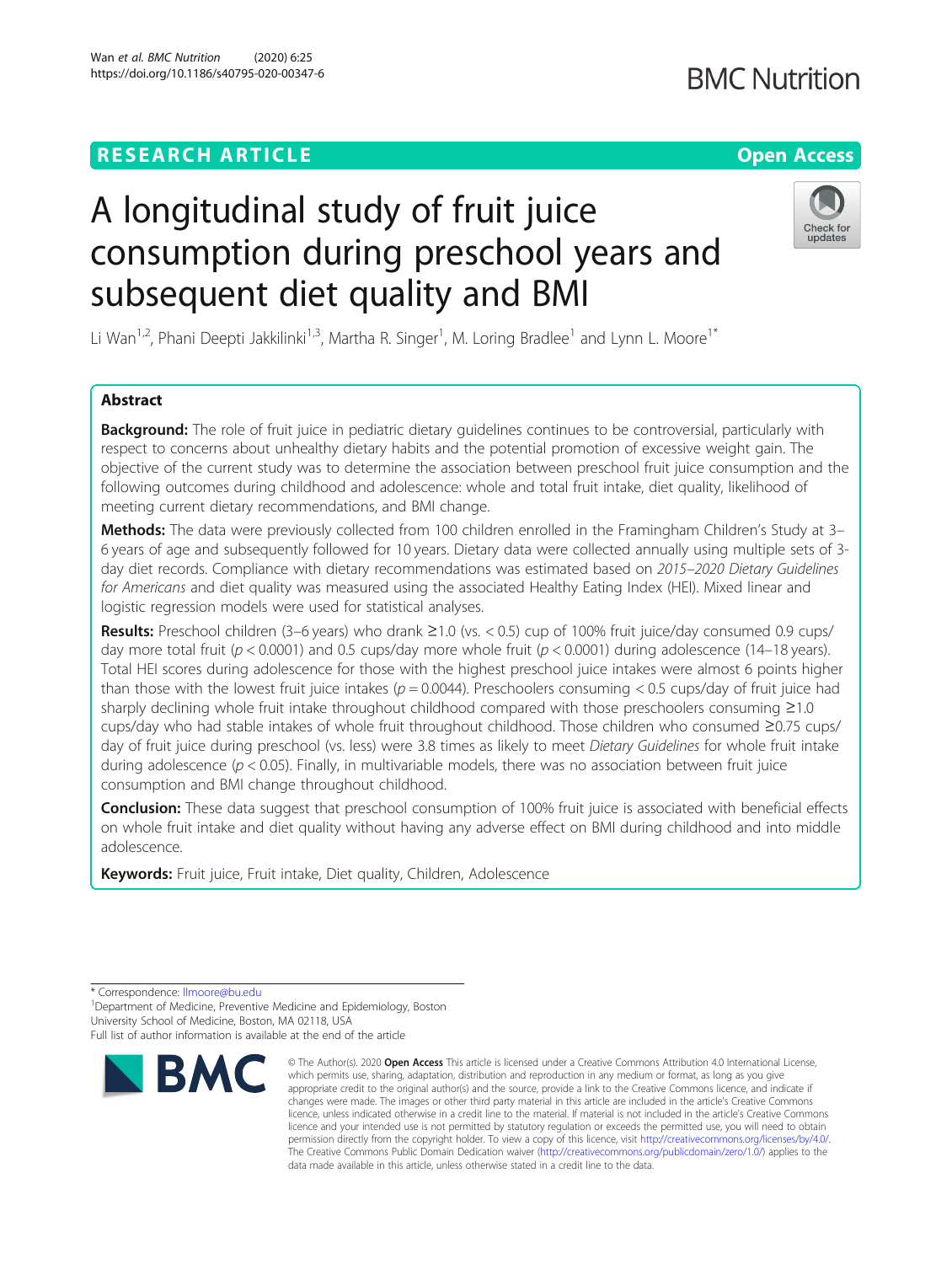Wan et al. BMC Nutrition (2020) 6:25 https://doi.org/10.1186/s40795-020-00347-6

## Check for updates

# A longitudinal study of fruit juice consumption during preschool years and subsequent diet quality and BMI

Li Wan<sup>1,2</sup>, Phani Deepti Jakkilinki<sup>1,3</sup>, Martha R. Singer<sup>1</sup>, M. Loring Bradlee<sup>1</sup> and Lynn L. Moore<sup>1\*</sup>

### Abstract

Background: The role of fruit juice in pediatric dietary quidelines continues to be controversial, particularly with respect to concerns about unhealthy dietary habits and the potential promotion of excessive weight gain. The objective of the current study was to determine the association between preschool fruit juice consumption and the following outcomes during childhood and adolescence: whole and total fruit intake, diet quality, likelihood of meeting current dietary recommendations, and BMI change.

Methods: The data were previously collected from 100 children enrolled in the Framingham Children's Study at 3– 6 years of age and subsequently followed for 10 years. Dietary data were collected annually using multiple sets of 3 day diet records. Compliance with dietary recommendations was estimated based on 2015–2020 Dietary Guidelines for Americans and diet quality was measured using the associated Healthy Eating Index (HEI). Mixed linear and logistic regression models were used for statistical analyses.

Results: Preschool children (3–6 years) who drank ≥1.0 (vs. < 0.5) cup of 100% fruit juice/day consumed 0.9 cups/ day more total fruit ( $p < 0.0001$ ) and 0.5 cups/day more whole fruit ( $p < 0.0001$ ) during adolescence (14–18 years). Total HEI scores during adolescence for those with the highest preschool juice intakes were almost 6 points higher than those with the lowest fruit juice intakes ( $p = 0.0044$ ). Preschoolers consuming < 0.5 cups/day of fruit juice had sharply declining whole fruit intake throughout childhood compared with those preschoolers consuming ≥1.0 cups/day who had stable intakes of whole fruit throughout childhood. Those children who consumed ≥0.75 cups/ day of fruit juice during preschool (vs. less) were 3.8 times as likely to meet Dietary Guidelines for whole fruit intake during adolescence ( $p < 0.05$ ). Finally, in multivariable models, there was no association between fruit juice consumption and BMI change throughout childhood.

**Conclusion:** These data suggest that preschool consumption of 100% fruit juice is associated with beneficial effects on whole fruit intake and diet quality without having any adverse effect on BMI during childhood and into middle adolescence.

Keywords: Fruit juice, Fruit intake, Diet quality, Children, Adolescence

\* Correspondence: [llmoore@bu.edu](mailto:llmoore@bu.edu) <sup>1</sup>

<sup>1</sup> Department of Medicine, Preventive Medicine and Epidemiology, Boston University School of Medicine, Boston, MA 02118, USA

Full list of author information is available at the end of the article



<sup>©</sup> The Author(s), 2020 **Open Access** This article is licensed under a Creative Commons Attribution 4.0 International License, which permits use, sharing, adaptation, distribution and reproduction in any medium or format, as long as you give appropriate credit to the original author(s) and the source, provide a link to the Creative Commons licence, and indicate if changes were made. The images or other third party material in this article are included in the article's Creative Commons licence, unless indicated otherwise in a credit line to the material. If material is not included in the article's Creative Commons licence and your intended use is not permitted by statutory regulation or exceeds the permitted use, you will need to obtain permission directly from the copyright holder. To view a copy of this licence, visit [http://creativecommons.org/licenses/by/4.0/.](http://creativecommons.org/licenses/by/4.0/) The Creative Commons Public Domain Dedication waiver [\(http://creativecommons.org/publicdomain/zero/1.0/](http://creativecommons.org/publicdomain/zero/1.0/)) applies to the data made available in this article, unless otherwise stated in a credit line to the data.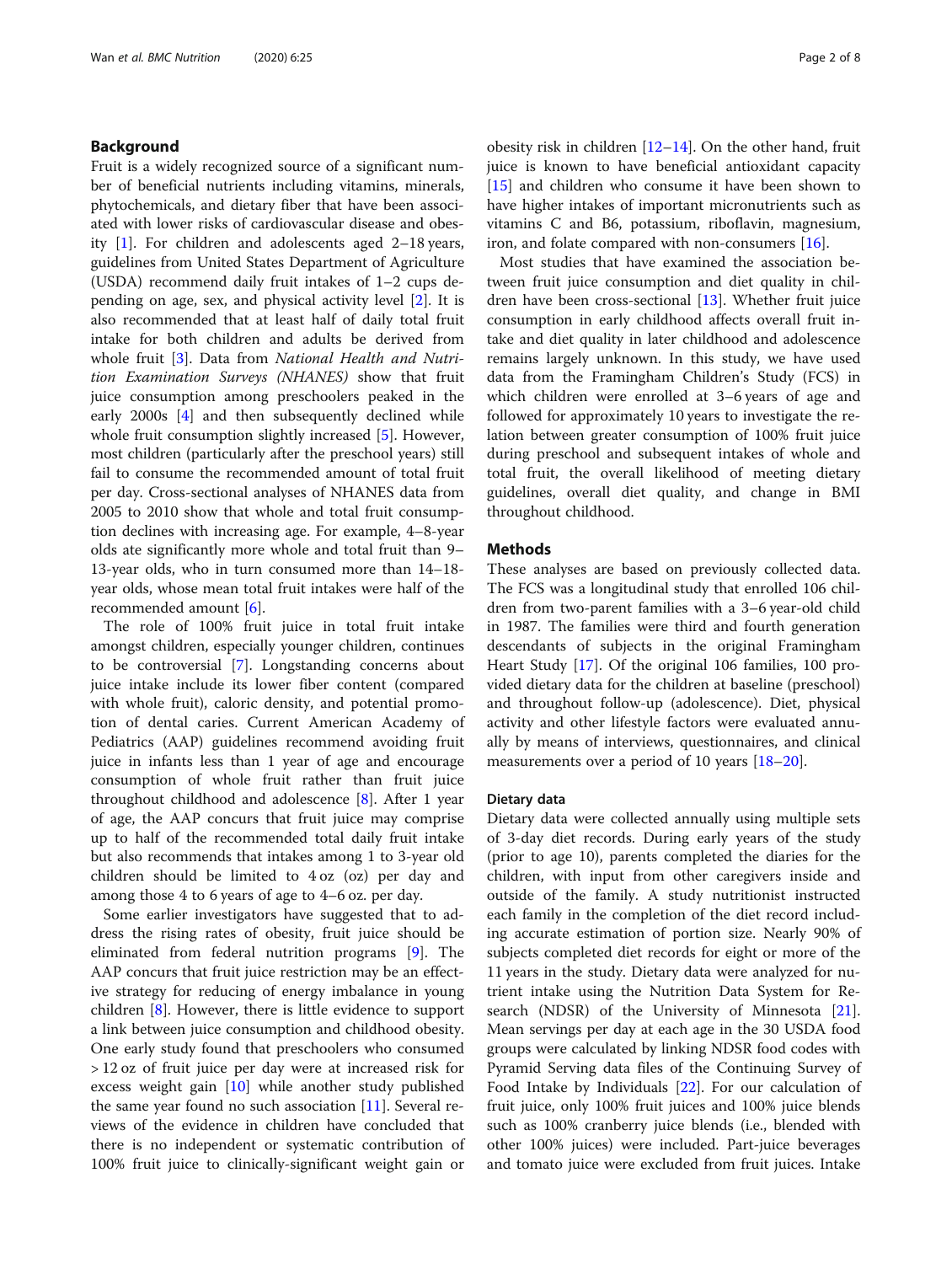#### Background

Fruit is a widely recognized source of a significant number of beneficial nutrients including vitamins, minerals, phytochemicals, and dietary fiber that have been associated with lower risks of cardiovascular disease and obesity [\[1](#page-6-0)]. For children and adolescents aged 2–18 years, guidelines from United States Department of Agriculture (USDA) recommend daily fruit intakes of 1–2 cups depending on age, sex, and physical activity level [[2\]](#page-6-0). It is also recommended that at least half of daily total fruit intake for both children and adults be derived from whole fruit [\[3](#page-6-0)]. Data from National Health and Nutrition Examination Surveys (NHANES) show that fruit juice consumption among preschoolers peaked in the early 2000s [\[4](#page-6-0)] and then subsequently declined while whole fruit consumption slightly increased [[5](#page-6-0)]. However, most children (particularly after the preschool years) still fail to consume the recommended amount of total fruit per day. Cross-sectional analyses of NHANES data from 2005 to 2010 show that whole and total fruit consumption declines with increasing age. For example, 4–8-year olds ate significantly more whole and total fruit than 9– 13-year olds, who in turn consumed more than 14–18 year olds, whose mean total fruit intakes were half of the recommended amount [[6\]](#page-6-0).

The role of 100% fruit juice in total fruit intake amongst children, especially younger children, continues to be controversial [[7\]](#page-6-0). Longstanding concerns about juice intake include its lower fiber content (compared with whole fruit), caloric density, and potential promotion of dental caries. Current American Academy of Pediatrics (AAP) guidelines recommend avoiding fruit juice in infants less than 1 year of age and encourage consumption of whole fruit rather than fruit juice throughout childhood and adolescence [[8\]](#page-6-0). After 1 year of age, the AAP concurs that fruit juice may comprise up to half of the recommended total daily fruit intake but also recommends that intakes among 1 to 3-year old children should be limited to 4 oz (oz) per day and among those 4 to 6 years of age to 4–6 oz. per day.

Some earlier investigators have suggested that to address the rising rates of obesity, fruit juice should be eliminated from federal nutrition programs [[9](#page-6-0)]. The AAP concurs that fruit juice restriction may be an effective strategy for reducing of energy imbalance in young children [[8\]](#page-6-0). However, there is little evidence to support a link between juice consumption and childhood obesity. One early study found that preschoolers who consumed > 12 oz of fruit juice per day were at increased risk for excess weight gain [[10\]](#page-6-0) while another study published the same year found no such association [[11\]](#page-6-0). Several reviews of the evidence in children have concluded that there is no independent or systematic contribution of 100% fruit juice to clinically-significant weight gain or obesity risk in children [[12](#page-6-0)–[14](#page-6-0)]. On the other hand, fruit juice is known to have beneficial antioxidant capacity [[15\]](#page-6-0) and children who consume it have been shown to have higher intakes of important micronutrients such as vitamins C and B6, potassium, riboflavin, magnesium, iron, and folate compared with non-consumers [\[16\]](#page-6-0).

Most studies that have examined the association between fruit juice consumption and diet quality in children have been cross-sectional [\[13](#page-6-0)]. Whether fruit juice consumption in early childhood affects overall fruit intake and diet quality in later childhood and adolescence remains largely unknown. In this study, we have used data from the Framingham Children's Study (FCS) in which children were enrolled at 3–6 years of age and followed for approximately 10 years to investigate the relation between greater consumption of 100% fruit juice during preschool and subsequent intakes of whole and total fruit, the overall likelihood of meeting dietary guidelines, overall diet quality, and change in BMI throughout childhood.

#### **Methods**

These analyses are based on previously collected data. The FCS was a longitudinal study that enrolled 106 children from two-parent families with a 3–6 year-old child in 1987. The families were third and fourth generation descendants of subjects in the original Framingham Heart Study [[17\]](#page-6-0). Of the original 106 families, 100 provided dietary data for the children at baseline (preschool) and throughout follow-up (adolescence). Diet, physical activity and other lifestyle factors were evaluated annually by means of interviews, questionnaires, and clinical measurements over a period of 10 years [\[18](#page-6-0)–[20\]](#page-6-0).

#### Dietary data

Dietary data were collected annually using multiple sets of 3-day diet records. During early years of the study (prior to age 10), parents completed the diaries for the children, with input from other caregivers inside and outside of the family. A study nutritionist instructed each family in the completion of the diet record including accurate estimation of portion size. Nearly 90% of subjects completed diet records for eight or more of the 11 years in the study. Dietary data were analyzed for nutrient intake using the Nutrition Data System for Research (NDSR) of the University of Minnesota [\[21](#page-6-0)]. Mean servings per day at each age in the 30 USDA food groups were calculated by linking NDSR food codes with Pyramid Serving data files of the Continuing Survey of Food Intake by Individuals [[22\]](#page-6-0). For our calculation of fruit juice, only 100% fruit juices and 100% juice blends such as 100% cranberry juice blends (i.e., blended with other 100% juices) were included. Part-juice beverages and tomato juice were excluded from fruit juices. Intake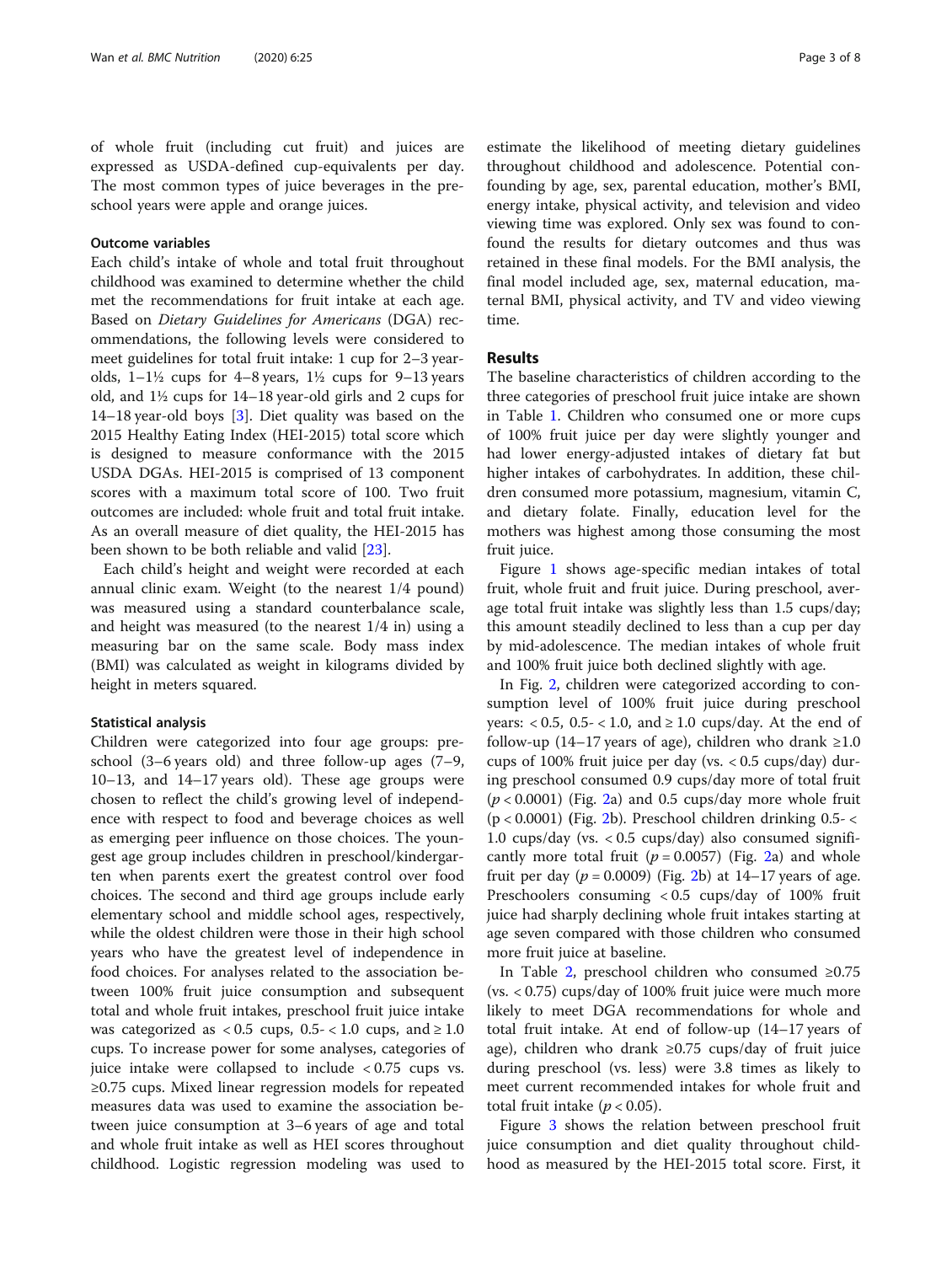of whole fruit (including cut fruit) and juices are expressed as USDA-defined cup-equivalents per day. The most common types of juice beverages in the preschool years were apple and orange juices.

#### Outcome variables

Each child's intake of whole and total fruit throughout childhood was examined to determine whether the child met the recommendations for fruit intake at each age. Based on Dietary Guidelines for Americans (DGA) recommendations, the following levels were considered to meet guidelines for total fruit intake: 1 cup for 2–3 yearolds,  $1-1\frac{1}{2}$  cups for  $4-8$  years,  $1\frac{1}{2}$  cups for  $9-13$  years old, and 1½ cups for 14–18 year-old girls and 2 cups for 14–18 year-old boys [[3\]](#page-6-0). Diet quality was based on the 2015 Healthy Eating Index (HEI-2015) total score which is designed to measure conformance with the 2015 USDA DGAs. HEI-2015 is comprised of 13 component scores with a maximum total score of 100. Two fruit outcomes are included: whole fruit and total fruit intake. As an overall measure of diet quality, the HEI-2015 has been shown to be both reliable and valid [[23](#page-6-0)].

Each child's height and weight were recorded at each annual clinic exam. Weight (to the nearest 1/4 pound) was measured using a standard counterbalance scale, and height was measured (to the nearest 1/4 in) using a measuring bar on the same scale. Body mass index (BMI) was calculated as weight in kilograms divided by height in meters squared.

#### Statistical analysis

Children were categorized into four age groups: preschool (3–6 years old) and three follow-up ages (7–9, 10–13, and 14–17 years old). These age groups were chosen to reflect the child's growing level of independence with respect to food and beverage choices as well as emerging peer influence on those choices. The youngest age group includes children in preschool/kindergarten when parents exert the greatest control over food choices. The second and third age groups include early elementary school and middle school ages, respectively, while the oldest children were those in their high school years who have the greatest level of independence in food choices. For analyses related to the association between 100% fruit juice consumption and subsequent total and whole fruit intakes, preschool fruit juice intake was categorized as  $< 0.5$  cups,  $0.5 - < 1.0$  cups, and  $\ge 1.0$ cups. To increase power for some analyses, categories of juice intake were collapsed to include < 0.75 cups vs. ≥0.75 cups. Mixed linear regression models for repeated measures data was used to examine the association between juice consumption at 3–6 years of age and total and whole fruit intake as well as HEI scores throughout childhood. Logistic regression modeling was used to

estimate the likelihood of meeting dietary guidelines throughout childhood and adolescence. Potential confounding by age, sex, parental education, mother's BMI, energy intake, physical activity, and television and video viewing time was explored. Only sex was found to confound the results for dietary outcomes and thus was retained in these final models. For the BMI analysis, the final model included age, sex, maternal education, maternal BMI, physical activity, and TV and video viewing time.

#### Results

The baseline characteristics of children according to the three categories of preschool fruit juice intake are shown in Table [1.](#page-3-0) Children who consumed one or more cups of 100% fruit juice per day were slightly younger and had lower energy-adjusted intakes of dietary fat but higher intakes of carbohydrates. In addition, these children consumed more potassium, magnesium, vitamin C, and dietary folate. Finally, education level for the mothers was highest among those consuming the most fruit juice.

Figure [1](#page-3-0) shows age-specific median intakes of total fruit, whole fruit and fruit juice. During preschool, average total fruit intake was slightly less than 1.5 cups/day; this amount steadily declined to less than a cup per day by mid-adolescence. The median intakes of whole fruit and 100% fruit juice both declined slightly with age.

In Fig. [2](#page-4-0), children were categorized according to consumption level of 100% fruit juice during preschool years:  $< 0.5$ , 0.5 $- < 1.0$ , and  $\ge 1.0$  cups/day. At the end of follow-up (14–17 years of age), children who drank  $\geq 1.0$ cups of 100% fruit juice per day (vs.  $< 0.5$  cups/day) during preschool consumed 0.9 cups/day more of total fruit  $(p < 0.0001)$  (Fig. [2](#page-4-0)a) and 0.5 cups/day more whole fruit (p < 0.0001) (Fig. [2b](#page-4-0)). Preschool children drinking 0.5- < 1.0 cups/day (vs. < 0.5 cups/day) also consumed significantly more total fruit ( $p = 0.0057$ ) (Fig. [2](#page-4-0)a) and whole fruit per day  $(p = 0.0009)$  (Fig. [2](#page-4-0)b) at 14–17 years of age. Preschoolers consuming < 0.5 cups/day of 100% fruit juice had sharply declining whole fruit intakes starting at age seven compared with those children who consumed more fruit juice at baseline.

In Table [2,](#page-4-0) preschool children who consumed ≥0.75 (vs. < 0.75) cups/day of 100% fruit juice were much more likely to meet DGA recommendations for whole and total fruit intake. At end of follow-up (14–17 years of age), children who drank ≥0.75 cups/day of fruit juice during preschool (vs. less) were 3.8 times as likely to meet current recommended intakes for whole fruit and total fruit intake ( $p < 0.05$ ).

Figure [3](#page-4-0) shows the relation between preschool fruit juice consumption and diet quality throughout childhood as measured by the HEI-2015 total score. First, it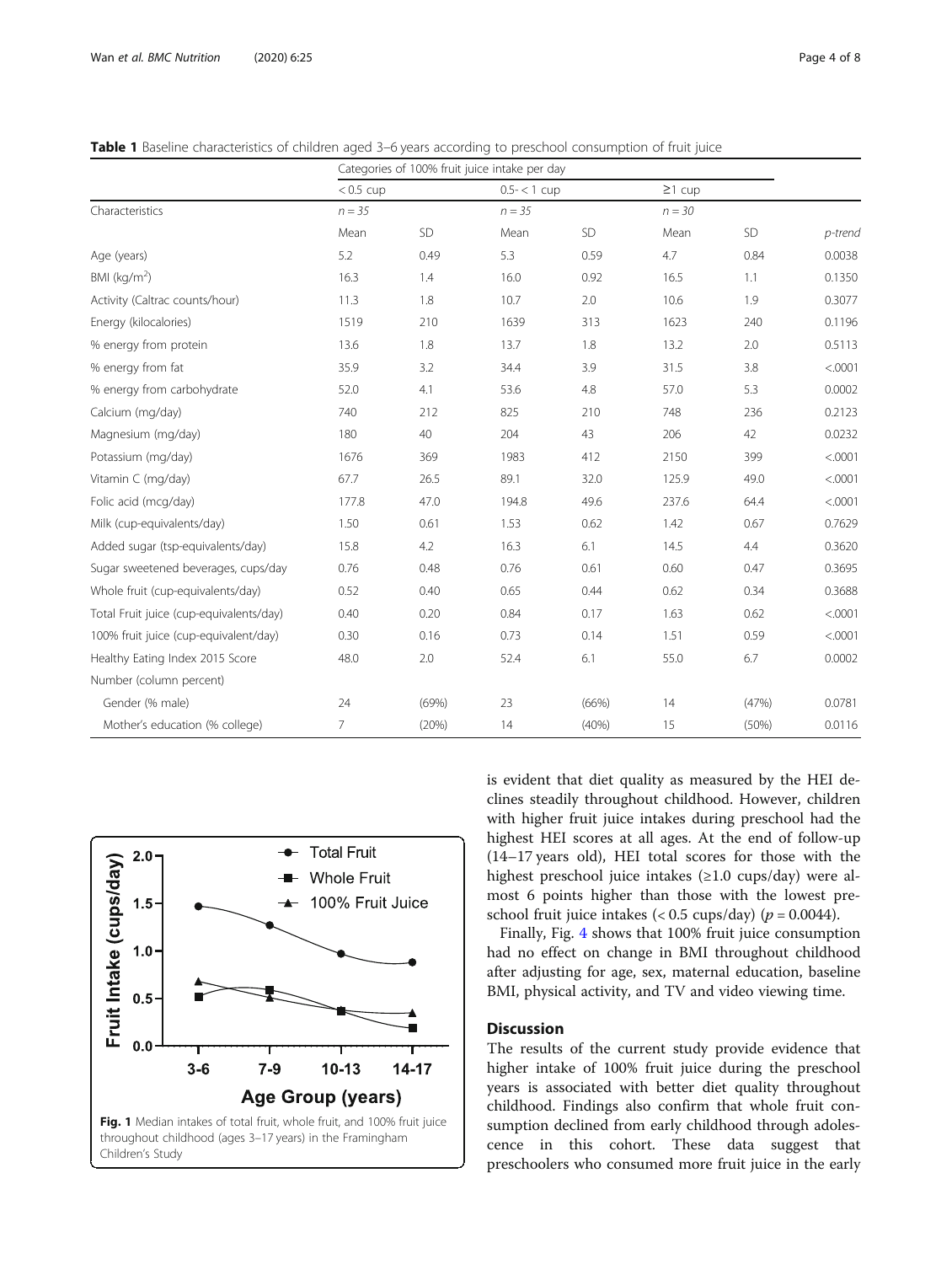<span id="page-3-0"></span>Table 1 Baseline characteristics of children aged 3–6 years according to preschool consumption of fruit juice

|                                         | Categories of 100% fruit juice intake per day |       |                             |       |                          |       |         |
|-----------------------------------------|-----------------------------------------------|-------|-----------------------------|-------|--------------------------|-------|---------|
| Characteristics                         | $< 0.5$ cup<br>$n = 35$                       |       | $0.5 - < 1$ cup<br>$n = 35$ |       | $\geq$ 1 cup<br>$n = 30$ |       |         |
|                                         |                                               |       |                             |       |                          |       |         |
|                                         | Age (years)                                   | 5.2   | 0.49                        | 5.3   | 0.59                     | 4.7   | 0.84    |
| BMI ( $kg/m2$ )                         | 16.3                                          | 1.4   | 16.0                        | 0.92  | 16.5                     | 1.1   | 0.1350  |
| Activity (Caltrac counts/hour)          | 11.3                                          | 1.8   | 10.7                        | 2.0   | 10.6                     | 1.9   | 0.3077  |
| Energy (kilocalories)                   | 1519                                          | 210   | 1639                        | 313   | 1623                     | 240   | 0.1196  |
| % energy from protein                   | 13.6                                          | 1.8   | 13.7                        | 1.8   | 13.2                     | 2.0   | 0.5113  |
| % energy from fat                       | 35.9                                          | 3.2   | 34.4                        | 3.9   | 31.5                     | 3.8   | < .0001 |
| % energy from carbohydrate              | 52.0                                          | 4.1   | 53.6                        | 4.8   | 57.0                     | 5.3   | 0.0002  |
| Calcium (mg/day)                        | 740                                           | 212   | 825                         | 210   | 748                      | 236   | 0.2123  |
| Magnesium (mg/day)                      | 180                                           | 40    | 204                         | 43    | 206                      | 42    | 0.0232  |
| Potassium (mg/day)                      | 1676                                          | 369   | 1983                        | 412   | 2150                     | 399   | < .0001 |
| Vitamin C (mg/day)                      | 67.7                                          | 26.5  | 89.1                        | 32.0  | 125.9                    | 49.0  | < .0001 |
| Folic acid (mcg/day)                    | 177.8                                         | 47.0  | 194.8                       | 49.6  | 237.6                    | 64.4  | < .0001 |
| Milk (cup-equivalents/day)              | 1.50                                          | 0.61  | 1.53                        | 0.62  | 1.42                     | 0.67  | 0.7629  |
| Added sugar (tsp-equivalents/day)       | 15.8                                          | 4.2   | 16.3                        | 6.1   | 14.5                     | 4.4   | 0.3620  |
| Sugar sweetened beverages, cups/day     | 0.76                                          | 0.48  | 0.76                        | 0.61  | 0.60                     | 0.47  | 0.3695  |
| Whole fruit (cup-equivalents/day)       | 0.52                                          | 0.40  | 0.65                        | 0.44  | 0.62                     | 0.34  | 0.3688  |
| Total Fruit juice (cup-equivalents/day) | 0.40                                          | 0.20  | 0.84                        | 0.17  | 1.63                     | 0.62  | < .0001 |
| 100% fruit juice (cup-equivalent/day)   | 0.30                                          | 0.16  | 0.73                        | 0.14  | 1.51                     | 0.59  | < .0001 |
| Healthy Eating Index 2015 Score         | 48.0                                          | 2.0   | 52.4                        | 6.1   | 55.0                     | 6.7   | 0.0002  |
| Number (column percent)                 |                                               |       |                             |       |                          |       |         |
| Gender (% male)                         | 24                                            | (69%) | 23                          | (66%) | 14                       | (47%) | 0.0781  |
| Mother's education (% college)          | 7                                             | (20%) | 14                          | (40%) | 15                       | (50%) | 0.0116  |



is evident that diet quality as measured by the HEI declines steadily throughout childhood. However, children with higher fruit juice intakes during preschool had the highest HEI scores at all ages. At the end of follow-up (14–17 years old), HEI total scores for those with the highest preschool juice intakes (≥1.0 cups/day) were almost 6 points higher than those with the lowest preschool fruit juice intakes (<  $0.5 \text{ cups/day}$ ) ( $p = 0.0044$ ).

Finally, Fig. [4](#page-5-0) shows that 100% fruit juice consumption had no effect on change in BMI throughout childhood after adjusting for age, sex, maternal education, baseline BMI, physical activity, and TV and video viewing time.

#### Discussion

The results of the current study provide evidence that higher intake of 100% fruit juice during the preschool years is associated with better diet quality throughout childhood. Findings also confirm that whole fruit consumption declined from early childhood through adolescence in this cohort. These data suggest that preschoolers who consumed more fruit juice in the early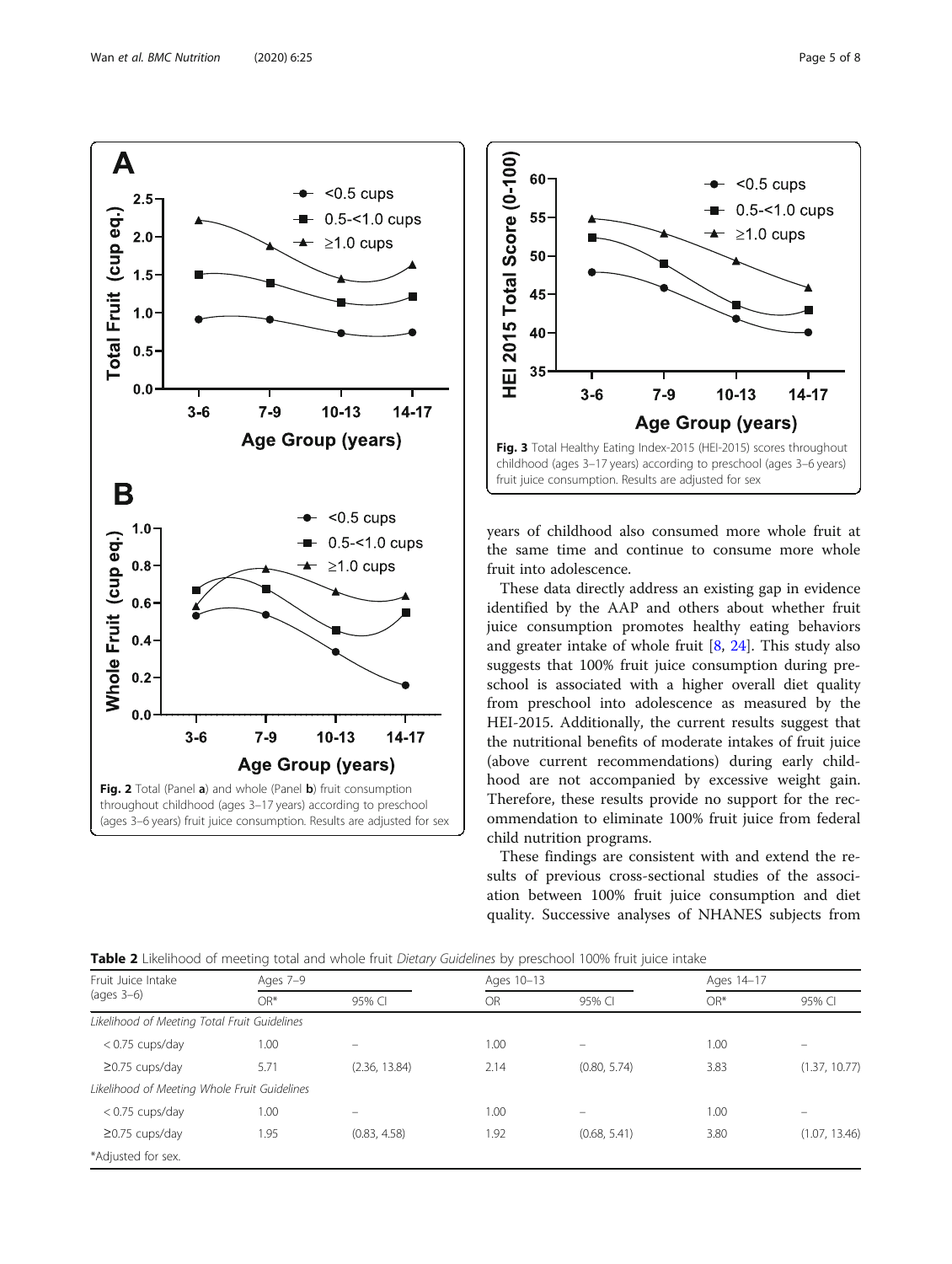<span id="page-4-0"></span>



years of childhood also consumed more whole fruit at the same time and continue to consume more whole fruit into adolescence.

These data directly address an existing gap in evidence identified by the AAP and others about whether fruit juice consumption promotes healthy eating behaviors and greater intake of whole fruit [[8,](#page-6-0) [24\]](#page-6-0). This study also suggests that 100% fruit juice consumption during preschool is associated with a higher overall diet quality from preschool into adolescence as measured by the HEI-2015. Additionally, the current results suggest that the nutritional benefits of moderate intakes of fruit juice (above current recommendations) during early childhood are not accompanied by excessive weight gain. Therefore, these results provide no support for the recommendation to eliminate 100% fruit juice from federal child nutrition programs.

These findings are consistent with and extend the results of previous cross-sectional studies of the association between 100% fruit juice consumption and diet quality. Successive analyses of NHANES subjects from

| Fruit Juice Intake                           | Ages 7-9 |               |           | Ages 10-13   |       | Ages 14-17    |  |
|----------------------------------------------|----------|---------------|-----------|--------------|-------|---------------|--|
| $(aqes 3-6)$                                 | $OR*$    | 95% CI        | <b>OR</b> | 95% CI       | $OR*$ | 95% CI        |  |
| Likelihood of Meeting Total Fruit Guidelines |          |               |           |              |       |               |  |
| $<$ 0.75 cups/day                            | 1.00     |               | 1.00      |              | 1.00  |               |  |
| $\geq$ 0.75 cups/day                         | 5.71     | (2.36, 13.84) | 2.14      | (0.80, 5.74) | 3.83  | (1.37, 10.77) |  |
| Likelihood of Meeting Whole Fruit Guidelines |          |               |           |              |       |               |  |
| $<$ 0.75 cups/day                            | 1.00     |               | 1.00      |              | 1.00  |               |  |
| $\geq$ 0.75 cups/day                         | 1.95     | (0.83, 4.58)  | 1.92      | (0.68, 5.41) | 3.80  | (1.07, 13.46) |  |
| *Adjusted for sex.                           |          |               |           |              |       |               |  |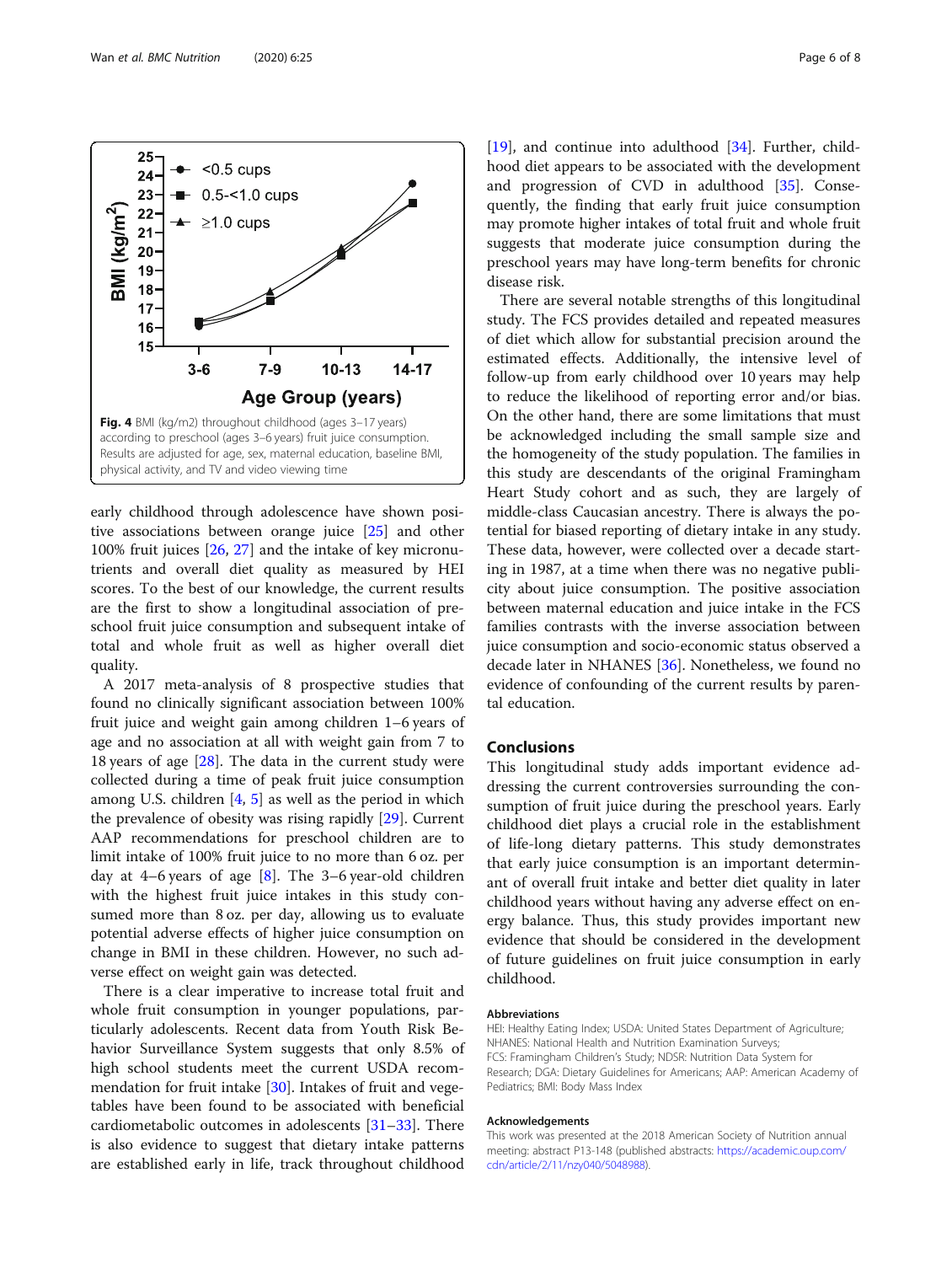

<span id="page-5-0"></span>

early childhood through adolescence have shown positive associations between orange juice [\[25\]](#page-6-0) and other 100% fruit juices [\[26](#page-6-0), [27](#page-6-0)] and the intake of key micronutrients and overall diet quality as measured by HEI scores. To the best of our knowledge, the current results are the first to show a longitudinal association of preschool fruit juice consumption and subsequent intake of total and whole fruit as well as higher overall diet quality.

A 2017 meta-analysis of 8 prospective studies that found no clinically significant association between 100% fruit juice and weight gain among children 1–6 years of age and no association at all with weight gain from 7 to 18 years of age [[28](#page-6-0)]. The data in the current study were collected during a time of peak fruit juice consumption among U.S. children [[4,](#page-6-0) [5\]](#page-6-0) as well as the period in which the prevalence of obesity was rising rapidly [[29\]](#page-6-0). Current AAP recommendations for preschool children are to limit intake of 100% fruit juice to no more than 6 oz. per day at 4–6 years of age  $[8]$  $[8]$ . The 3–6 year-old children with the highest fruit juice intakes in this study consumed more than 8 oz. per day, allowing us to evaluate potential adverse effects of higher juice consumption on change in BMI in these children. However, no such adverse effect on weight gain was detected.

There is a clear imperative to increase total fruit and whole fruit consumption in younger populations, particularly adolescents. Recent data from Youth Risk Behavior Surveillance System suggests that only 8.5% of high school students meet the current USDA recommendation for fruit intake [\[30](#page-6-0)]. Intakes of fruit and vegetables have been found to be associated with beneficial cardiometabolic outcomes in adolescents [\[31](#page-7-0)–[33\]](#page-7-0). There is also evidence to suggest that dietary intake patterns are established early in life, track throughout childhood [[19\]](#page-6-0), and continue into adulthood [[34\]](#page-7-0). Further, childhood diet appears to be associated with the development and progression of CVD in adulthood [[35\]](#page-7-0). Consequently, the finding that early fruit juice consumption may promote higher intakes of total fruit and whole fruit suggests that moderate juice consumption during the preschool years may have long-term benefits for chronic disease risk.

There are several notable strengths of this longitudinal study. The FCS provides detailed and repeated measures of diet which allow for substantial precision around the estimated effects. Additionally, the intensive level of follow-up from early childhood over 10 years may help to reduce the likelihood of reporting error and/or bias. On the other hand, there are some limitations that must be acknowledged including the small sample size and the homogeneity of the study population. The families in this study are descendants of the original Framingham Heart Study cohort and as such, they are largely of middle-class Caucasian ancestry. There is always the potential for biased reporting of dietary intake in any study. These data, however, were collected over a decade starting in 1987, at a time when there was no negative publicity about juice consumption. The positive association between maternal education and juice intake in the FCS families contrasts with the inverse association between juice consumption and socio-economic status observed a decade later in NHANES [[36\]](#page-7-0). Nonetheless, we found no evidence of confounding of the current results by parental education.

#### Conclusions

This longitudinal study adds important evidence addressing the current controversies surrounding the consumption of fruit juice during the preschool years. Early childhood diet plays a crucial role in the establishment of life-long dietary patterns. This study demonstrates that early juice consumption is an important determinant of overall fruit intake and better diet quality in later childhood years without having any adverse effect on energy balance. Thus, this study provides important new evidence that should be considered in the development of future guidelines on fruit juice consumption in early childhood.

#### Abbreviations

HEI: Healthy Eating Index; USDA: United States Department of Agriculture; NHANES: National Health and Nutrition Examination Surveys; FCS: Framingham Children's Study; NDSR: Nutrition Data System for Research; DGA: Dietary Guidelines for Americans; AAP: American Academy of Pediatrics; BMI: Body Mass Index

#### Acknowledgements

This work was presented at the 2018 American Society of Nutrition annual meeting: abstract P13-148 (published abstracts: [https://academic.oup.com/](https://academic.oup.com/cdn/article/2/11/nzy040/5048988) [cdn/article/2/11/nzy040/5048988\)](https://academic.oup.com/cdn/article/2/11/nzy040/5048988).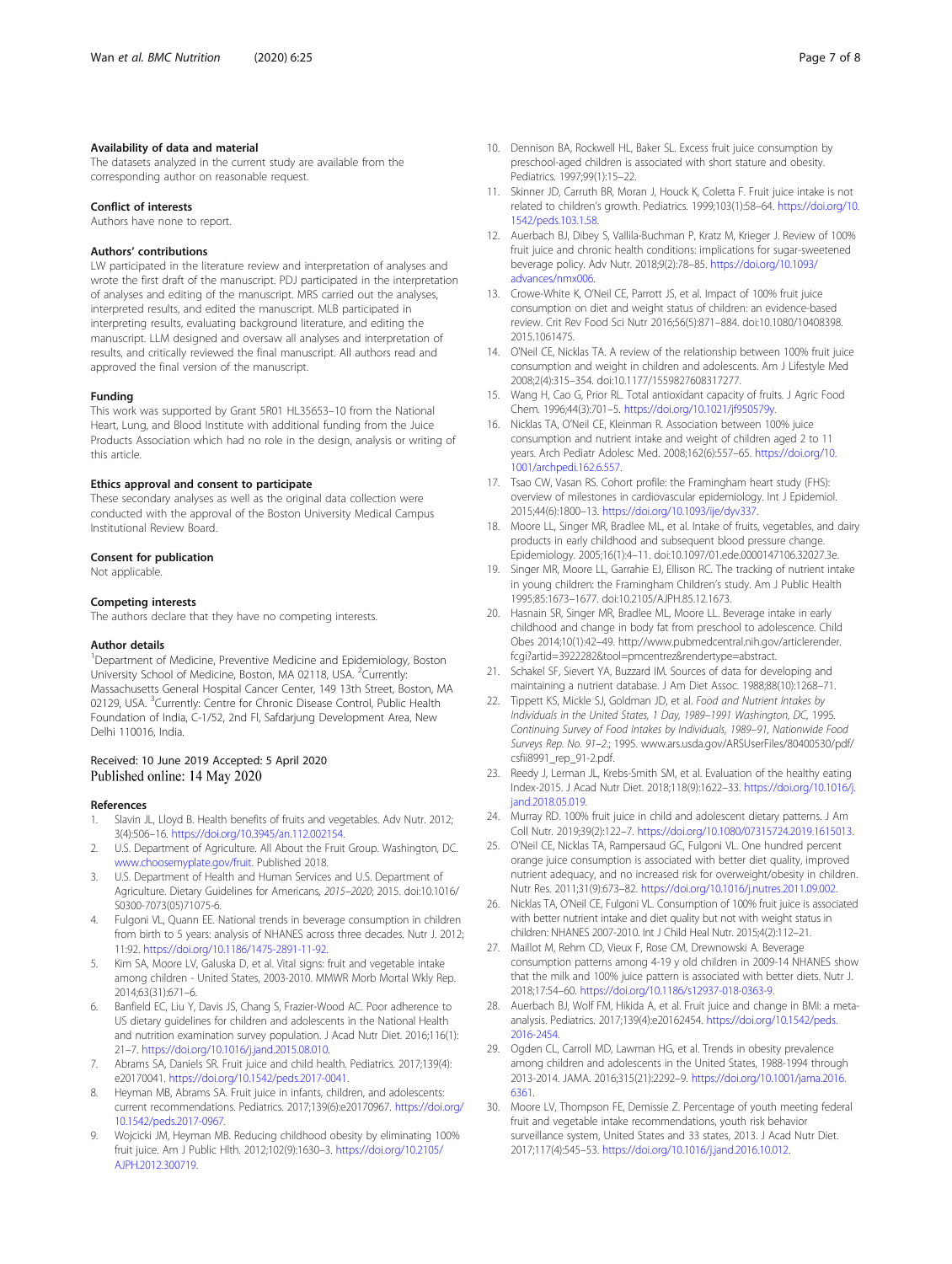#### <span id="page-6-0"></span>Availability of data and material

The datasets analyzed in the current study are available from the corresponding author on reasonable request.

#### Conflict of interests

Authors have none to report.

#### Authors' contributions

LW participated in the literature review and interpretation of analyses and wrote the first draft of the manuscript. PDJ participated in the interpretation of analyses and editing of the manuscript. MRS carried out the analyses, interpreted results, and edited the manuscript. MLB participated in interpreting results, evaluating background literature, and editing the manuscript. LLM designed and oversaw all analyses and interpretation of results, and critically reviewed the final manuscript. All authors read and approved the final version of the manuscript.

#### Funding

This work was supported by Grant 5R01 HL35653–10 from the National Heart, Lung, and Blood Institute with additional funding from the Juice Products Association which had no role in the design, analysis or writing of this article.

#### Ethics approval and consent to participate

These secondary analyses as well as the original data collection were conducted with the approval of the Boston University Medical Campus Institutional Review Board.

#### Consent for publication

Not applicable.

#### Competing interests

The authors declare that they have no competing interests.

#### Author details

<sup>1</sup>Department of Medicine, Preventive Medicine and Epidemiology, Boston University School of Medicine, Boston, MA 02118, USA. <sup>2</sup>Currently: Massachusetts General Hospital Cancer Center, 149 13th Street, Boston, MA 02129, USA. <sup>3</sup>Currently: Centre for Chronic Disease Control, Public Health Foundation of India, C-1/52, 2nd Fl, Safdarjung Development Area, New Delhi 110016, India.

#### Received: 10 June 2019 Accepted: 5 April 2020 Published online: 14 May 2020

#### References

- 1. Slavin JL, Lloyd B. Health benefits of fruits and vegetables. Adv Nutr. 2012; 3(4):506–16. [https://doi.org/10.3945/an.112.002154.](https://doi.org/10.3945/an.112.002154)
- 2. U.S. Department of Agriculture. All About the Fruit Group. Washington, DC. [www.choosemyplate.gov/fruit](http://www.choosemyplate.gov/fruit). Published 2018.
- 3. U.S. Department of Health and Human Services and U.S. Department of Agriculture. Dietary Guidelines for Americans, 2015–2020; 2015. doi:10.1016/ S0300-7073(05)71075-6.
- 4. Fulgoni VL, Quann EE. National trends in beverage consumption in children from birth to 5 years: analysis of NHANES across three decades. Nutr J. 2012; 11:92. <https://doi.org/10.1186/1475-2891-11-92>.
- 5. Kim SA, Moore LV, Galuska D, et al. Vital signs: fruit and vegetable intake among children - United States, 2003-2010. MMWR Morb Mortal Wkly Rep. 2014;63(31):671–6.
- Banfield EC, Liu Y, Davis JS, Chang S, Frazier-Wood AC. Poor adherence to US dietary guidelines for children and adolescents in the National Health and nutrition examination survey population. J Acad Nutr Diet. 2016;116(1): 21–7. <https://doi.org/10.1016/j.jand.2015.08.010>.
- 7. Abrams SA, Daniels SR. Fruit juice and child health. Pediatrics. 2017;139(4): e20170041. <https://doi.org/10.1542/peds.2017-0041>.
- 8. Heyman MB, Abrams SA. Fruit juice in infants, children, and adolescents: current recommendations. Pediatrics. 2017;139(6):e20170967. [https://doi.org/](https://doi.org/10.1542/peds.2017-0967) [10.1542/peds.2017-0967](https://doi.org/10.1542/peds.2017-0967).
- 9. Wojcicki JM, Heyman MB. Reducing childhood obesity by eliminating 100% fruit juice. Am J Public Hlth. 2012;102(9):1630–3. [https://doi.org/10.2105/](https://doi.org/10.2105/AJPH.2012.300719) [AJPH.2012.300719.](https://doi.org/10.2105/AJPH.2012.300719)
- 10. Dennison BA, Rockwell HL, Baker SL. Excess fruit juice consumption by
- preschool-aged children is associated with short stature and obesity. Pediatrics. 1997;99(1):15–22.
- 11. Skinner JD, Carruth BR, Moran J, Houck K, Coletta F. Fruit juice intake is not related to children's growth. Pediatrics. 1999;103(1):58–64. [https://doi.org/10.](https://doi.org/10.1542/peds.103.1.58) [1542/peds.103.1.58.](https://doi.org/10.1542/peds.103.1.58)
- 12. Auerbach BJ, Dibey S, Vallila-Buchman P, Kratz M, Krieger J. Review of 100% fruit juice and chronic health conditions: implications for sugar-sweetened beverage policy. Adv Nutr. 2018;9(2):78–85. [https://doi.org/10.1093/](https://doi.org/10.1093/advances/nmx006) [advances/nmx006](https://doi.org/10.1093/advances/nmx006).
- 13. Crowe-White K, O'Neil CE, Parrott JS, et al. Impact of 100% fruit juice consumption on diet and weight status of children: an evidence-based review. Crit Rev Food Sci Nutr 2016;56(5):871–884. doi:10.1080/10408398. 2015.1061475.
- 14. O'Neil CE, Nicklas TA. A review of the relationship between 100% fruit juice consumption and weight in children and adolescents. Am J Lifestyle Med 2008;2(4):315–354. doi:10.1177/1559827608317277.
- 15. Wang H, Cao G, Prior RL. Total antioxidant capacity of fruits. J Agric Food Chem. 1996;44(3):701–5. [https://doi.org/10.1021/jf950579y.](https://doi.org/10.1021/jf950579y)
- 16. Nicklas TA, O'Neil CE, Kleinman R. Association between 100% juice consumption and nutrient intake and weight of children aged 2 to 11 years. Arch Pediatr Adolesc Med. 2008;162(6):557–65. [https://doi.org/10.](https://doi.org/10.1001/archpedi.162.6.557) [1001/archpedi.162.6.557](https://doi.org/10.1001/archpedi.162.6.557).
- 17. Tsao CW, Vasan RS. Cohort profile: the Framingham heart study (FHS): overview of milestones in cardiovascular epidemiology. Int J Epidemiol. 2015;44(6):1800–13. <https://doi.org/10.1093/ije/dyv337>.
- 18. Moore LL, Singer MR, Bradlee ML, et al. Intake of fruits, vegetables, and dairy products in early childhood and subsequent blood pressure change. Epidemiology. 2005;16(1):4–11. doi:10.1097/01.ede.0000147106.32027.3e.
- 19. Singer MR, Moore LL, Garrahie EJ, Ellison RC. The tracking of nutrient intake in young children: the Framingham Children's study. Am J Public Health 1995;85:1673–1677. doi:10.2105/AJPH.85.12.1673.
- 20. Hasnain SR, Singer MR, Bradlee ML, Moore LL. Beverage intake in early childhood and change in body fat from preschool to adolescence. Child Obes 2014;10(1):42–49. http://www.pubmedcentral.nih.gov/articlerender. fcgi?artid=3922282&tool=pmcentrez&rendertype=abstract.
- 21. Schakel SF, Sievert YA, Buzzard IM. Sources of data for developing and maintaining a nutrient database. J Am Diet Assoc. 1988;88(10):1268–71.
- 22. Tippett KS, Mickle SJ, Goldman JD, et al. Food and Nutrient Intakes by Individuals in the United States, 1 Day, 1989–1991 Washington, DC, 1995. Continuing Survey of Food Intakes by Individuals, 1989–91, Nationwide Food Surveys Rep. No. 91–2.; 1995. www.ars.usda.gov/ARSUserFiles/80400530/pdf/ csfii8991\_rep\_91-2.pdf.
- 23. Reedy J, Lerman JL, Krebs-Smith SM, et al. Evaluation of the healthy eating Index-2015. J Acad Nutr Diet. 2018;118(9):1622–33. [https://doi.org/10.1016/j.](https://doi.org/10.1016/j.jand.2018.05.019) [jand.2018.05.019](https://doi.org/10.1016/j.jand.2018.05.019).
- 24. Murray RD. 100% fruit juice in child and adolescent dietary patterns. J Am Coll Nutr. 2019;39(2):122–7. <https://doi.org/10.1080/07315724.2019.1615013>.
- 25. O'Neil CE, Nicklas TA, Rampersaud GC, Fulgoni VL. One hundred percent orange juice consumption is associated with better diet quality, improved nutrient adequacy, and no increased risk for overweight/obesity in children. Nutr Res. 2011;31(9):673–82. <https://doi.org/10.1016/j.nutres.2011.09.002>.
- 26. Nicklas TA, O'Neil CE, Fulgoni VL. Consumption of 100% fruit juice is associated with better nutrient intake and diet quality but not with weight status in children: NHANES 2007-2010. Int J Child Heal Nutr. 2015;4(2):112–21.
- 27. Maillot M, Rehm CD, Vieux F, Rose CM, Drewnowski A. Beverage consumption patterns among 4-19 y old children in 2009-14 NHANES show that the milk and 100% juice pattern is associated with better diets. Nutr J. 2018;17:54–60. [https://doi.org/10.1186/s12937-018-0363-9.](https://doi.org/10.1186/s12937-018-0363-9)
- 28. Auerbach BJ, Wolf FM, Hikida A, et al. Fruit juice and change in BMI: a metaanalysis. Pediatrics. 2017;139(4):e20162454. [https://doi.org/10.1542/peds.](https://doi.org/10.1542/peds.2016-2454) [2016-2454](https://doi.org/10.1542/peds.2016-2454).
- 29. Ogden CL, Carroll MD, Lawman HG, et al. Trends in obesity prevalence among children and adolescents in the United States, 1988-1994 through 2013-2014. JAMA. 2016;315(21):2292–9. [https://doi.org/10.1001/jama.2016.](https://doi.org/10.1001/jama.2016.6361) [6361](https://doi.org/10.1001/jama.2016.6361).
- 30. Moore LV, Thompson FE, Demissie Z. Percentage of youth meeting federal fruit and vegetable intake recommendations, youth risk behavior surveillance system, United States and 33 states, 2013. J Acad Nutr Diet. 2017;117(4):545–53. [https://doi.org/10.1016/j.jand.2016.10.012.](https://doi.org/10.1016/j.jand.2016.10.012)